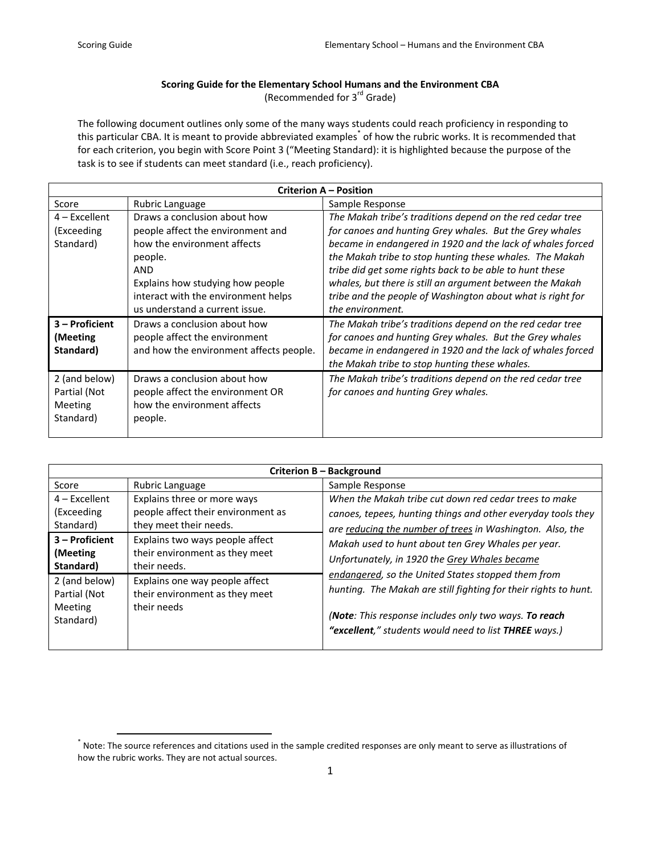## **Scoring Guide for the Elementary School Humans and the Environment CBA** (Recommended for 3rd Grade)

The following document outlines only some of the many ways students could reach proficiency in responding to this particular CBA. It is meant to provide abbreviated examples<sup>\*</sup> of how the rubric works. It is recommended that for each criterion, you begin with Score Point 3 ("Meeting Standard): it is highlighted because the purpose of the task is to see if students can meet standard (i.e., reach proficiency).

| <b>Criterion A - Position</b> |                                         |                                                            |  |  |
|-------------------------------|-----------------------------------------|------------------------------------------------------------|--|--|
| Score                         | Rubric Language                         | Sample Response                                            |  |  |
| $4$ – Excellent               | Draws a conclusion about how            | The Makah tribe's traditions depend on the red cedar tree  |  |  |
| (Exceeding                    | people affect the environment and       | for canoes and hunting Grey whales. But the Grey whales    |  |  |
| Standard)                     | how the environment affects             | became in endangered in 1920 and the lack of whales forced |  |  |
|                               | people.                                 | the Makah tribe to stop hunting these whales. The Makah    |  |  |
|                               | <b>AND</b>                              | tribe did get some rights back to be able to hunt these    |  |  |
|                               | Explains how studying how people        | whales, but there is still an argument between the Makah   |  |  |
|                               | interact with the environment helps     | tribe and the people of Washington about what is right for |  |  |
|                               | us understand a current issue.          | the environment.                                           |  |  |
| 3 – Proficient                | Draws a conclusion about how            | The Makah tribe's traditions depend on the red cedar tree  |  |  |
| (Meeting)                     | people affect the environment           | for canoes and hunting Grey whales. But the Grey whales    |  |  |
| Standard)                     | and how the environment affects people. | became in endangered in 1920 and the lack of whales forced |  |  |
|                               |                                         | the Makah tribe to stop hunting these whales.              |  |  |
| 2 (and below)                 | Draws a conclusion about how            | The Makah tribe's traditions depend on the red cedar tree  |  |  |
| Partial (Not                  | people affect the environment OR        | for canoes and hunting Grey whales.                        |  |  |
| Meeting                       | how the environment affects             |                                                            |  |  |
| Standard)                     | people.                                 |                                                            |  |  |
|                               |                                         |                                                            |  |  |

| Criterion B - Background                              |                                                                                             |                                                                                                                                                                                                                                                                                                                                                                                                                                                                                                                                      |  |  |
|-------------------------------------------------------|---------------------------------------------------------------------------------------------|--------------------------------------------------------------------------------------------------------------------------------------------------------------------------------------------------------------------------------------------------------------------------------------------------------------------------------------------------------------------------------------------------------------------------------------------------------------------------------------------------------------------------------------|--|--|
| Score                                                 | Rubric Language                                                                             | Sample Response                                                                                                                                                                                                                                                                                                                                                                                                                                                                                                                      |  |  |
| $4$ – Excellent<br>(Exceeding<br>Standard)            | Explains three or more ways<br>people affect their environment as<br>they meet their needs. | When the Makah tribe cut down red cedar trees to make<br>canoes, tepees, hunting things and other everyday tools they<br>are reducing the number of trees in Washington. Also, the<br>Makah used to hunt about ten Grey Whales per year.<br>Unfortunately, in 1920 the Grey Whales became<br>endangered, so the United States stopped them from<br>hunting. The Makah are still fighting for their rights to hunt.<br>(Note: This response includes only two ways. To reach<br>"excellent," students would need to list THREE ways.) |  |  |
| 3 - Proficient<br>(Meeting)<br>Standard)              | Explains two ways people affect<br>their environment as they meet<br>their needs.           |                                                                                                                                                                                                                                                                                                                                                                                                                                                                                                                                      |  |  |
| 2 (and below)<br>Partial (Not<br>Meeting<br>Standard) | Explains one way people affect<br>their environment as they meet<br>their needs             |                                                                                                                                                                                                                                                                                                                                                                                                                                                                                                                                      |  |  |

 \* Note: The source references and citations used in the sample credited responses are only meant to serve as illustrations of how the rubric works. They are not actual sources.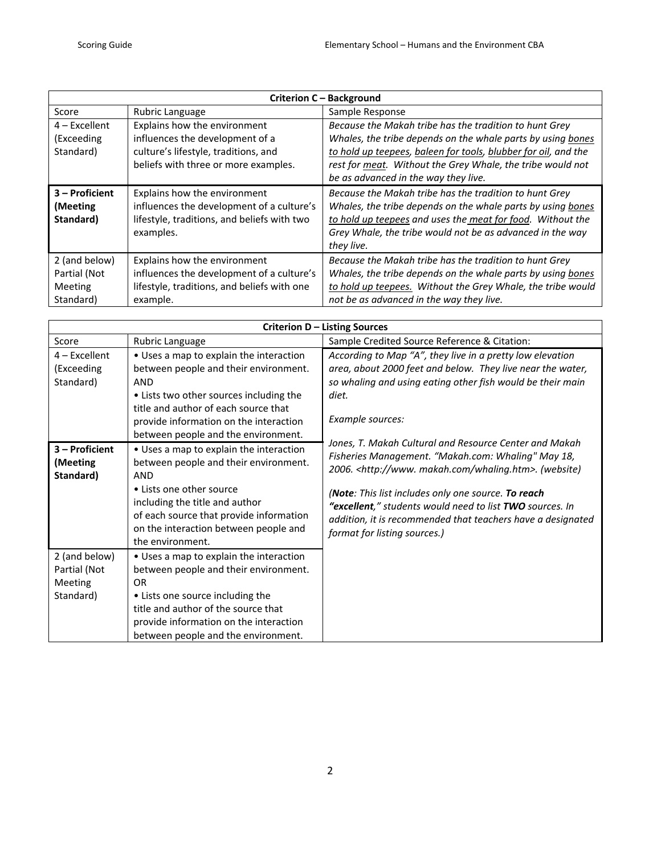| Criterion C - Background                   |                                                                                                                                       |                                                                                                                                                                                                                                                                |  |  |
|--------------------------------------------|---------------------------------------------------------------------------------------------------------------------------------------|----------------------------------------------------------------------------------------------------------------------------------------------------------------------------------------------------------------------------------------------------------------|--|--|
| Score                                      | Rubric Language                                                                                                                       | Sample Response                                                                                                                                                                                                                                                |  |  |
| $4$ – Excellent                            | Explains how the environment                                                                                                          | Because the Makah tribe has the tradition to hunt Grey                                                                                                                                                                                                         |  |  |
| (Exceeding                                 | influences the development of a                                                                                                       | Whales, the tribe depends on the whale parts by using bones                                                                                                                                                                                                    |  |  |
| Standard)                                  | culture's lifestyle, traditions, and                                                                                                  | to hold up teepees, baleen for tools, blubber for oil, and the                                                                                                                                                                                                 |  |  |
|                                            | beliefs with three or more examples.                                                                                                  | rest for meat. Without the Grey Whale, the tribe would not                                                                                                                                                                                                     |  |  |
|                                            |                                                                                                                                       | be as advanced in the way they live.                                                                                                                                                                                                                           |  |  |
| $3 -$ Proficient<br>(Meeting)<br>Standard) | Explains how the environment<br>influences the development of a culture's<br>lifestyle, traditions, and beliefs with two<br>examples. | Because the Makah tribe has the tradition to hunt Grey<br>Whales, the tribe depends on the whale parts by using bones<br>to hold up teepees and uses the meat for food. Without the<br>Grey Whale, the tribe would not be as advanced in the way<br>they live. |  |  |
| 2 (and below)                              | Explains how the environment                                                                                                          | Because the Makah tribe has the tradition to hunt Grey                                                                                                                                                                                                         |  |  |
| Partial (Not                               | influences the development of a culture's                                                                                             | Whales, the tribe depends on the whale parts by using bones                                                                                                                                                                                                    |  |  |
| Meeting                                    | lifestyle, traditions, and beliefs with one                                                                                           | to hold up teepees. Without the Grey Whale, the tribe would                                                                                                                                                                                                    |  |  |
| Standard)                                  | example.                                                                                                                              | not be as advanced in the way they live.                                                                                                                                                                                                                       |  |  |

| Criterion D - Listing Sources                         |                                                                                                                                                                                                                                                                                                                                   |                                                                                                                                                                                                                                                                                                                                                                                                                            |  |  |
|-------------------------------------------------------|-----------------------------------------------------------------------------------------------------------------------------------------------------------------------------------------------------------------------------------------------------------------------------------------------------------------------------------|----------------------------------------------------------------------------------------------------------------------------------------------------------------------------------------------------------------------------------------------------------------------------------------------------------------------------------------------------------------------------------------------------------------------------|--|--|
| Score                                                 | Rubric Language                                                                                                                                                                                                                                                                                                                   | Sample Credited Source Reference & Citation:                                                                                                                                                                                                                                                                                                                                                                               |  |  |
| $4$ – Excellent<br>(Exceeding<br>Standard)            | • Uses a map to explain the interaction<br>between people and their environment.<br>AND<br>• Lists two other sources including the<br>title and author of each source that                                                                                                                                                        | According to Map "A", they live in a pretty low elevation<br>area, about 2000 feet and below. They live near the water,<br>so whaling and using eating other fish would be their main<br>diet.                                                                                                                                                                                                                             |  |  |
| 3 - Proficient<br>(Meeting<br>Standard)               | provide information on the interaction<br>between people and the environment.<br>• Uses a map to explain the interaction<br>between people and their environment.<br><b>AND</b><br>• Lists one other source<br>including the title and author<br>of each source that provide information<br>on the interaction between people and | Example sources:<br>Jones, T. Makah Cultural and Resource Center and Makah<br>Fisheries Management. "Makah.com: Whaling" May 18,<br>2006. <http: whaling.htm="" www.makah.com="">. (website)<br/>(Note: This list includes only one source. To reach<br/>"excellent," students would need to list TWO sources. In<br/>addition, it is recommended that teachers have a designated<br/>format for listing sources.)</http:> |  |  |
| 2 (and below)<br>Partial (Not<br>Meeting<br>Standard) | the environment.<br>• Uses a map to explain the interaction<br>between people and their environment.<br><b>OR</b><br>• Lists one source including the<br>title and author of the source that<br>provide information on the interaction<br>between people and the environment.                                                     |                                                                                                                                                                                                                                                                                                                                                                                                                            |  |  |